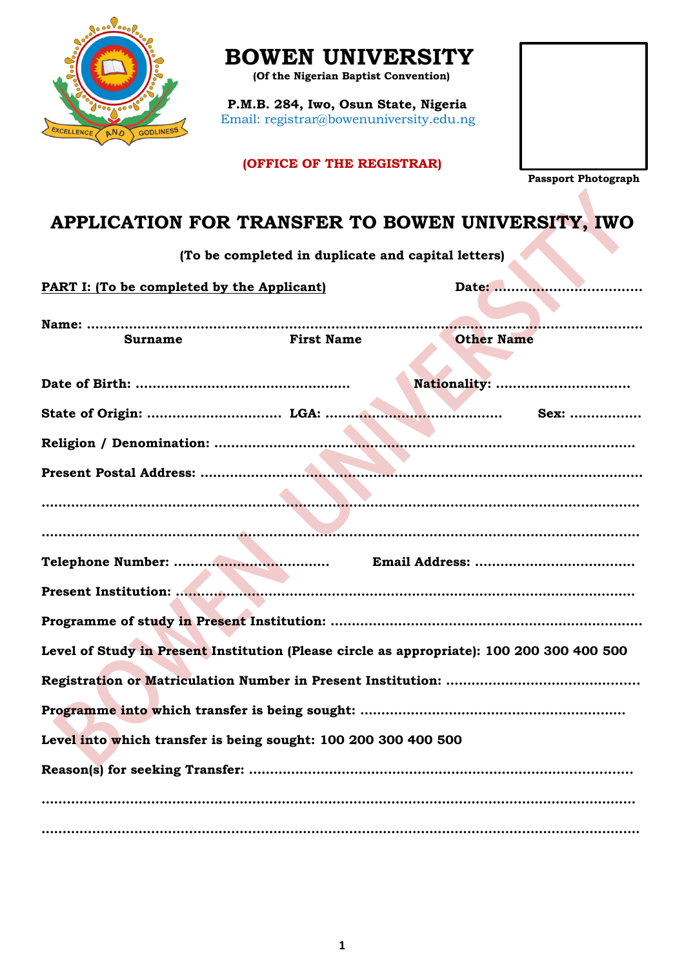

# **BOWEN UNIVERSITY**

 **(Of the Nigerian Baptist Convention)**

**P.M.B. 284, Iwo, Osun State, Nigeria** Email: registrar@bowenuniversity.edu.ng

**(OFFICE OF THE REGISTRAR)**

 **Passport Photograph**

## **APPLICATION FOR TRANSFER TO BOWEN UNIVERSITY, IWO**

**(To be completed in duplicate and capital letters)**

**PART I: (To be completed by the Applicant)** 

| <b>Other Name</b><br><b>First Name</b><br><b>Surname</b><br>Nationality:<br>Sex:<br>Level of Study in Present Institution (Please circle as appropriate): 100 200 300 400 500<br>Level into which transfer is being sought: 100 200 300 400 500 |  |  |
|-------------------------------------------------------------------------------------------------------------------------------------------------------------------------------------------------------------------------------------------------|--|--|
|                                                                                                                                                                                                                                                 |  |  |
|                                                                                                                                                                                                                                                 |  |  |
|                                                                                                                                                                                                                                                 |  |  |
|                                                                                                                                                                                                                                                 |  |  |
|                                                                                                                                                                                                                                                 |  |  |
|                                                                                                                                                                                                                                                 |  |  |
|                                                                                                                                                                                                                                                 |  |  |
|                                                                                                                                                                                                                                                 |  |  |
|                                                                                                                                                                                                                                                 |  |  |
|                                                                                                                                                                                                                                                 |  |  |
|                                                                                                                                                                                                                                                 |  |  |
|                                                                                                                                                                                                                                                 |  |  |
|                                                                                                                                                                                                                                                 |  |  |
|                                                                                                                                                                                                                                                 |  |  |
|                                                                                                                                                                                                                                                 |  |  |
|                                                                                                                                                                                                                                                 |  |  |
|                                                                                                                                                                                                                                                 |  |  |
|                                                                                                                                                                                                                                                 |  |  |
|                                                                                                                                                                                                                                                 |  |  |
|                                                                                                                                                                                                                                                 |  |  |
|                                                                                                                                                                                                                                                 |  |  |
|                                                                                                                                                                                                                                                 |  |  |
|                                                                                                                                                                                                                                                 |  |  |
|                                                                                                                                                                                                                                                 |  |  |
|                                                                                                                                                                                                                                                 |  |  |
|                                                                                                                                                                                                                                                 |  |  |
|                                                                                                                                                                                                                                                 |  |  |
|                                                                                                                                                                                                                                                 |  |  |
|                                                                                                                                                                                                                                                 |  |  |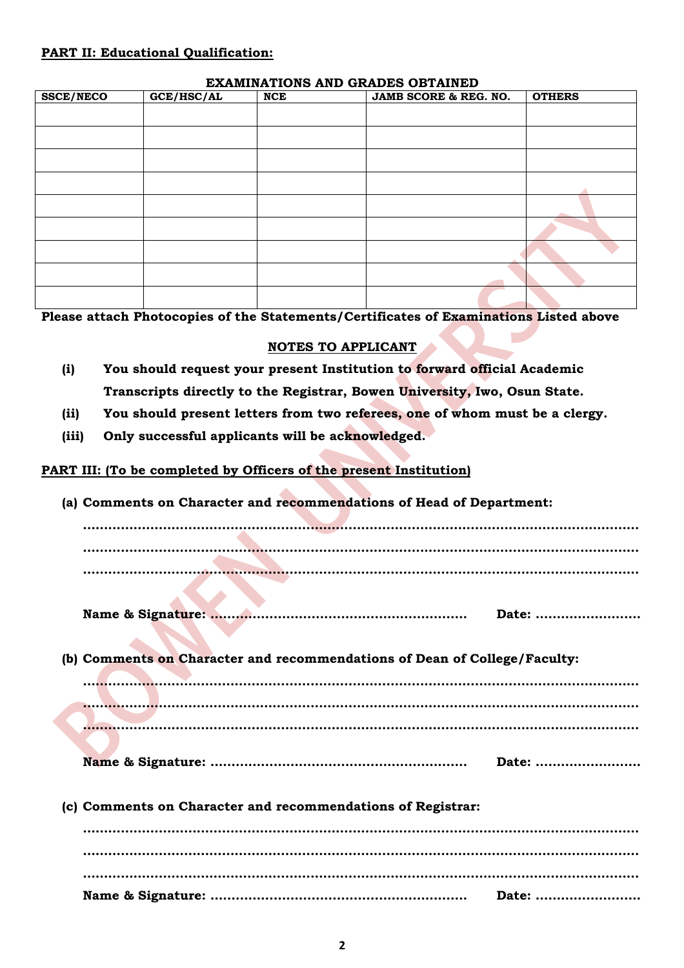#### **PART II: Educational Qualification:**

#### **EXAMINATIONS AND GRADES OBTAINED**

| <b>SSCE/NECO</b> | GCE/HSC/AL | <b>NCE</b> | JAMB SCORE & REG. NO. | <b>OTHERS</b> |
|------------------|------------|------------|-----------------------|---------------|
|                  |            |            |                       |               |
|                  |            |            |                       |               |
|                  |            |            |                       |               |
|                  |            |            |                       |               |
|                  |            |            |                       |               |
|                  |            |            |                       |               |
|                  |            |            |                       |               |
|                  |            |            |                       |               |
|                  |            |            |                       |               |
|                  |            |            |                       |               |

**Please attach Photocopies of the Statements/Certificates of Examinations Listed above**

#### **NOTES TO APPLICANT**

- **(i) You should request your present Institution to forward official Academic Transcripts directly to the Registrar, Bowen University, Iwo, Osun State.**
- **(ii) You should present letters from two referees, one of whom must be a clergy.**
- **(iii) Only successful applicants will be acknowledged.**

#### **PART III: (To be completed by Officers of the present Institution)**

**(a) Comments on Character and recommendations of Head of Department:** 

**…………………………………………………………………………………………………………………… …………………………………………………………………………………………………………………… ……………………………………………………………………………………………………………………**

**Name & Signature: ……………………………………………………. Date: …………………….**

**(b) Comments on Character and recommendations of Dean of College/Faculty: …………………………………………………………………………………………………………………… …………………………………………………………………………………………………………………… ……………………………………………………………………………………………………………………**

- **Name & Signature: ……………………………………………………. Date: …………………….**
- **(c) Comments on Character and recommendations of Registrar:**

**…………………………………………………………………………………………………………………… …………………………………………………………………………………………………………………… …………………………………………………………………………………………………………………… Name & Signature: ……………………………………………………. Date: …………………….**